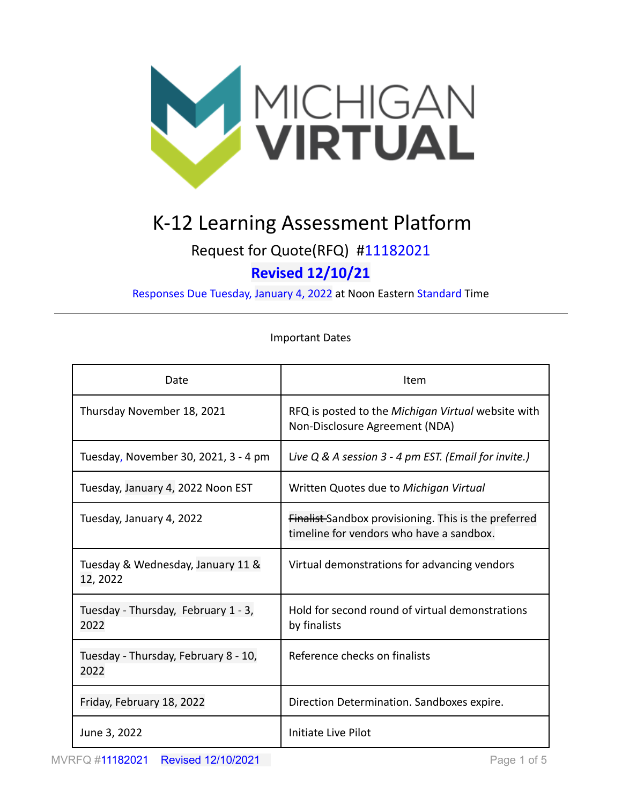

# K-12 Learning Assessment Platform

# Request for Quote(RFQ) #11182021 **Revised 12/10/21**

Responses Due Tuesday, January 4, 2022 at Noon Eastern Standard Time

#### Important Dates

| Date                                          | Item                                                                                             |
|-----------------------------------------------|--------------------------------------------------------------------------------------------------|
| Thursday November 18, 2021                    | RFQ is posted to the Michigan Virtual website with<br>Non-Disclosure Agreement (NDA)             |
| Tuesday, November 30, 2021, 3 - 4 pm          | Live $Q$ & A session $3 - 4$ pm EST. (Email for invite.)                                         |
| Tuesday, January 4, 2022 Noon EST             | Written Quotes due to Michigan Virtual                                                           |
| Tuesday, January 4, 2022                      | Finalist-Sandbox provisioning. This is the preferred<br>timeline for vendors who have a sandbox. |
| Tuesday & Wednesday, January 11 &<br>12, 2022 | Virtual demonstrations for advancing vendors                                                     |
| Tuesday - Thursday, February 1 - 3,<br>2022   | Hold for second round of virtual demonstrations<br>by finalists                                  |
| Tuesday - Thursday, February 8 - 10,<br>2022  | Reference checks on finalists                                                                    |
| Friday, February 18, 2022                     | Direction Determination. Sandboxes expire.                                                       |
| June 3, 2022                                  | Initiate Live Pilot                                                                              |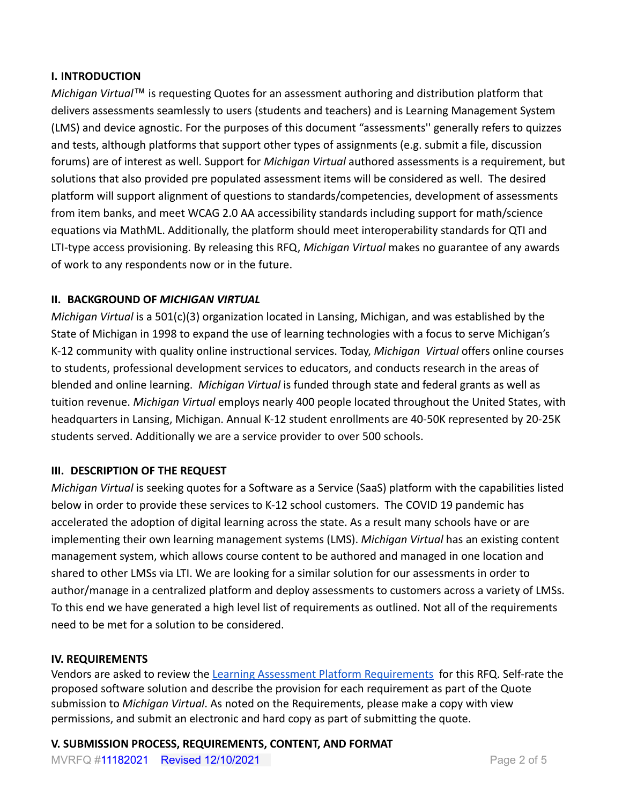#### **I. INTRODUCTION**

*Michigan Virtual*™ is requesting Quotes for an assessment authoring and distribution platform that delivers assessments seamlessly to users (students and teachers) and is Learning Management System (LMS) and device agnostic. For the purposes of this document "assessments'' generally refers to quizzes and tests, although platforms that support other types of assignments (e.g. submit a file, discussion forums) are of interest as well. Support for *Michigan Virtual* authored assessments is a requirement, but solutions that also provided pre populated assessment items will be considered as well. The desired platform will support alignment of questions to standards/competencies, development of assessments from item banks, and meet WCAG 2.0 AA accessibility standards including support for math/science equations via MathML. Additionally, the platform should meet interoperability standards for QTI and LTI-type access provisioning. By releasing this RFQ, *Michigan Virtual* makes no guarantee of any awards of work to any respondents now or in the future.

#### **II. BACKGROUND OF** *MICHIGAN VIRTUAL*

*Michigan Virtual* is a 501(c)(3) organization located in Lansing, Michigan, and was established by the State of Michigan in 1998 to expand the use of learning technologies with a focus to serve Michigan's K-12 community with quality online instructional services. Today, *Michigan Virtual* offers online courses to students, professional development services to educators, and conducts research in the areas of blended and online learning. *Michigan Virtual* is funded through state and federal grants as well as tuition revenue. *Michigan Virtual* employs nearly 400 people located throughout the United States, with headquarters in Lansing, Michigan. Annual K-12 student enrollments are 40-50K represented by 20-25K students served. Additionally we are a service provider to over 500 schools.

#### **III. DESCRIPTION OF THE REQUEST**

*Michigan Virtual* is seeking quotes for a Software as a Service (SaaS) platform with the capabilities listed below in order to provide these services to K-12 school customers. The COVID 19 pandemic has accelerated the adoption of digital learning across the state. As a result many schools have or are implementing their own learning management systems (LMS). *Michigan Virtual* has an existing content management system, which allows course content to be authored and managed in one location and shared to other LMSs via LTI. We are looking for a similar solution for our assessments in order to author/manage in a centralized platform and deploy assessments to customers across a variety of LMSs. To this end we have generated a high level list of requirements as outlined. Not all of the requirements need to be met for a solution to be considered.

#### **IV. REQUIREMENTS**

Vendors are asked to review the Learning Assessment [Platform Requirements](https://docs.google.com/spreadsheets/d/1IWMv6fuuLAP3gIg5J6PB8sXnugTjKgb-bDHKKjAkQpw/edit?usp=sharing) for this RFQ. Self-rate the proposed software solution and describe the provision for each requirement as part of the Quote submission to *Michigan Virtual*. As noted on the Requirements, please make a copy with view permissions, and submit an electronic and hard copy as part of submitting the quote.

**V. SUBMISSION PROCESS, REQUIREMENTS, CONTENT, AND FORMAT**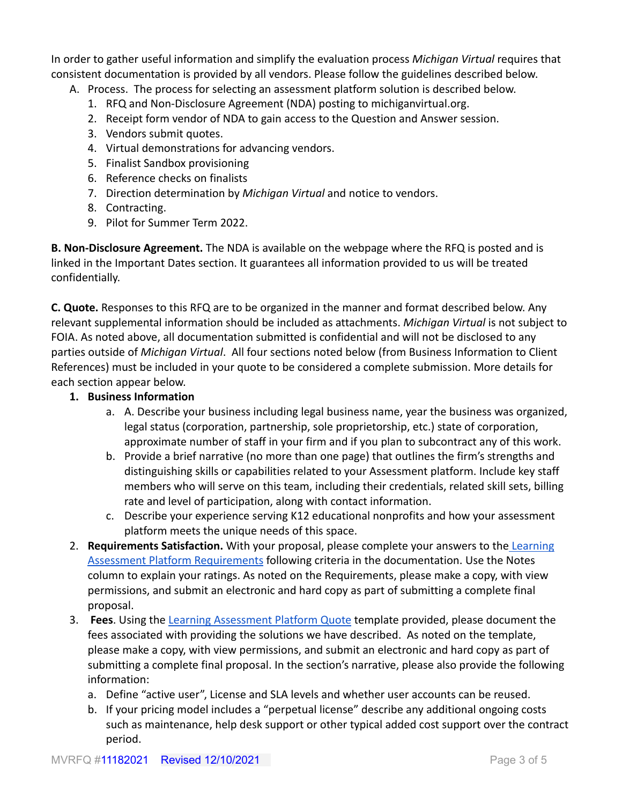In order to gather useful information and simplify the evaluation process *Michigan Virtual* requires that consistent documentation is provided by all vendors. Please follow the guidelines described below.

- A. Process. The process for selecting an assessment platform solution is described below.
	- 1. RFQ and Non-Disclosure Agreement (NDA) posting to michiganvirtual.org.
	- 2. Receipt form vendor of NDA to gain access to the Question and Answer session.
	- 3. Vendors submit quotes.
	- 4. Virtual demonstrations for advancing vendors.
	- 5. Finalist Sandbox provisioning
	- 6. Reference checks on finalists
	- 7. Direction determination by *Michigan Virtual* and notice to vendors.
	- 8. Contracting.
	- 9. Pilot for Summer Term 2022.

**B. Non-Disclosure Agreement.** The NDA is available on the webpage where the RFQ is posted and is linked in the Important Dates section. It guarantees all information provided to us will be treated confidentially.

**C. Quote.** Responses to this RFQ are to be organized in the manner and format described below. Any relevant supplemental information should be included as attachments. *Michigan Virtual* is not subject to FOIA. As noted above, all documentation submitted is confidential and will not be disclosed to any parties outside of *Michigan Virtual*. All four sections noted below (from Business Information to Client References) must be included in your quote to be considered a complete submission. More details for each section appear below.

# **1. Business Information**

- a. A. Describe your business including legal business name, year the business was organized, legal status (corporation, partnership, sole proprietorship, etc.) state of corporation, approximate number of staff in your firm and if you plan to subcontract any of this work.
- b. Provide a brief narrative (no more than one page) that outlines the firm's strengths and distinguishing skills or capabilities related to your Assessment platform. Include key staff members who will serve on this team, including their credentials, related skill sets, billing rate and level of participation, along with contact information.
- c. Describe your experience serving K12 educational nonprofits and how your assessment platform meets the unique needs of this space.
- 2. **Requirements Satisfaction.** With your proposal, please complete your answers to the [Learning](https://docs.google.com/spreadsheets/d/1IWMv6fuuLAP3gIg5J6PB8sXnugTjKgb-bDHKKjAkQpw/edit?usp=sharing) [Assessment Platform Requirements](https://docs.google.com/spreadsheets/d/1IWMv6fuuLAP3gIg5J6PB8sXnugTjKgb-bDHKKjAkQpw/edit?usp=sharing) following criteria in the documentation. Use the Notes column to explain your ratings. As noted on the Requirements, please make a copy, with view permissions, and submit an electronic and hard copy as part of submitting a complete final proposal.
- 3. **Fees**. Using the [Learning Assessment Platform Quote](https://docs.google.com/spreadsheets/d/1IxEL9kVAmxZuwnElw0ztEZVi1qjzXaUeEhwzNw91Q50/edit?usp=sharing) template provided, please document the fees associated with providing the solutions we have described. As noted on the template, please make a copy, with view permissions, and submit an electronic and hard copy as part of submitting a complete final proposal. In the section's narrative, please also provide the following information:
	- a. Define "active user", License and SLA levels and whether user accounts can be reused.
	- b. If your pricing model includes a "perpetual license" describe any additional ongoing costs such as maintenance, help desk support or other typical added cost support over the contract period.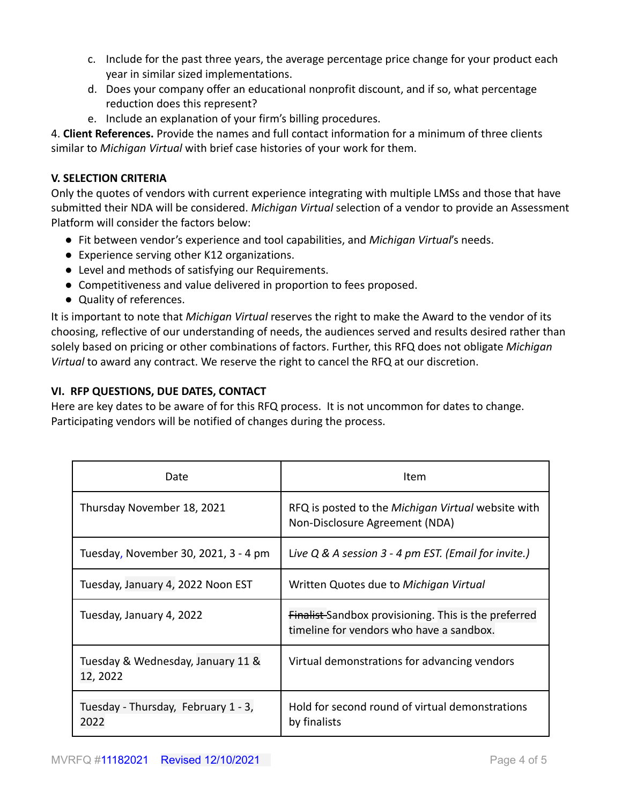- c. Include for the past three years, the average percentage price change for your product each year in similar sized implementations.
- d. Does your company offer an educational nonprofit discount, and if so, what percentage reduction does this represent?
- e. Include an explanation of your firm's billing procedures.

4. **Client References.** Provide the names and full contact information for a minimum of three clients similar to *Michigan Virtual* with brief case histories of your work for them.

## **V. SELECTION CRITERIA**

Only the quotes of vendors with current experience integrating with multiple LMSs and those that have submitted their NDA will be considered. *Michigan Virtual* selection of a vendor to provide an Assessment Platform will consider the factors below:

- Fit between vendor's experience and tool capabilities, and *Michigan Virtual*'s needs.
- Experience serving other K12 organizations.
- Level and methods of satisfying our Requirements.
- Competitiveness and value delivered in proportion to fees proposed.
- Quality of references.

It is important to note that *Michigan Virtual* reserves the right to make the Award to the vendor of its choosing, reflective of our understanding of needs, the audiences served and results desired rather than solely based on pricing or other combinations of factors. Further, this RFQ does not obligate *Michigan Virtual* to award any contract. We reserve the right to cancel the RFQ at our discretion.

### **VI. RFP QUESTIONS, DUE DATES, CONTACT**

Here are key dates to be aware of for this RFQ process. It is not uncommon for dates to change. Participating vendors will be notified of changes during the process.

| Date                                          | Item                                                                                                    |
|-----------------------------------------------|---------------------------------------------------------------------------------------------------------|
| Thursday November 18, 2021                    | RFQ is posted to the Michigan Virtual website with<br>Non-Disclosure Agreement (NDA)                    |
| Tuesday, November 30, 2021, 3 - 4 pm          | Live $Q$ & A session $3$ - 4 pm EST. (Email for invite.)                                                |
| Tuesday, January 4, 2022 Noon EST             | Written Quotes due to Michigan Virtual                                                                  |
| Tuesday, January 4, 2022                      | <b>Finalist-Sandbox provisioning. This is the preferred</b><br>timeline for vendors who have a sandbox. |
| Tuesday & Wednesday, January 11 &<br>12, 2022 | Virtual demonstrations for advancing vendors                                                            |
| Tuesday - Thursday, February 1 - 3,<br>2022   | Hold for second round of virtual demonstrations<br>by finalists                                         |